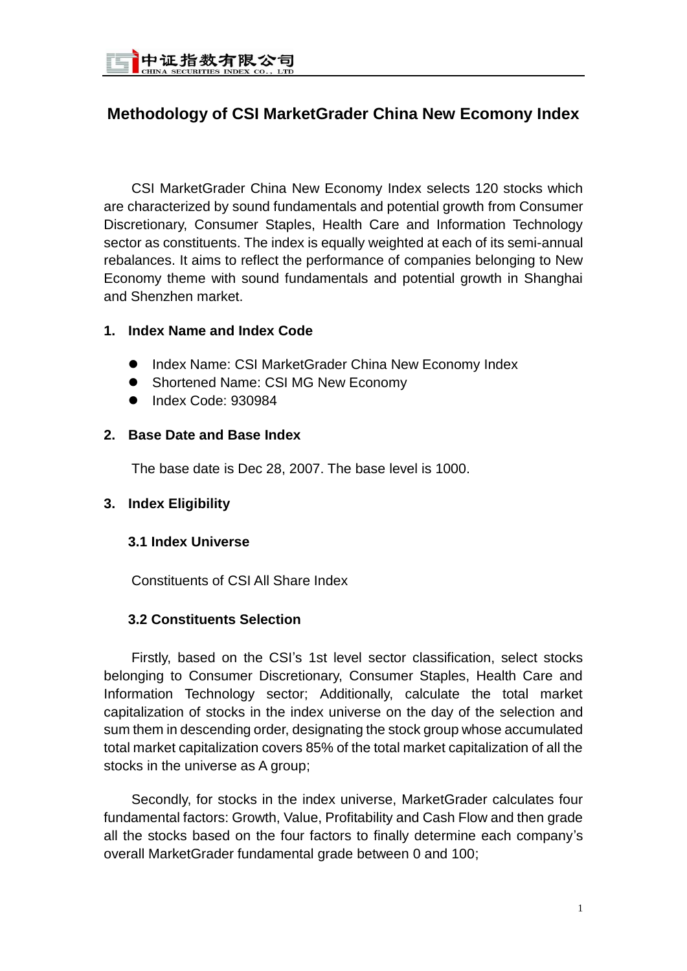

# **Methodology of CSI MarketGrader China New Ecomony Index**

CSI MarketGrader China New Economy Index selects 120 stocks which are characterized by sound fundamentals and potential growth from Consumer Discretionary, Consumer Staples, Health Care and Information Technology sector as constituents. The index is equally weighted at each of its semi-annual rebalances. It aims to reflect the performance of companies belonging to New Economy theme with sound fundamentals and potential growth in Shanghai and Shenzhen market.

### **1. Index Name and Index Code**

- **Index Name: CSI MarketGrader China New Economy Index**
- Shortened Name: CSI MG New Economy
- $\bullet$  Index Code: 930984

## **2. Base Date and Base Index**

The base date is Dec 28, 2007. The base level is 1000.

## **3. Index Eligibility**

## **3.1 Index Universe**

Constituents of CSI All Share Index

## **3.2 Constituents Selection**

Firstly, based on the CSI's 1st level sector classification, select stocks belonging to Consumer Discretionary, Consumer Staples, Health Care and Information Technology sector; Additionally, calculate the total market capitalization of stocks in the index universe on the day of the selection and sum them in descending order, designating the stock group whose accumulated total market capitalization covers 85% of the total market capitalization of all the stocks in the universe as A group;

Secondly, for stocks in the index universe, MarketGrader calculates four fundamental factors: Growth, Value, Profitability and Cash Flow and then grade all the stocks based on the four factors to finally determine each company's overall MarketGrader fundamental grade between 0 and 100;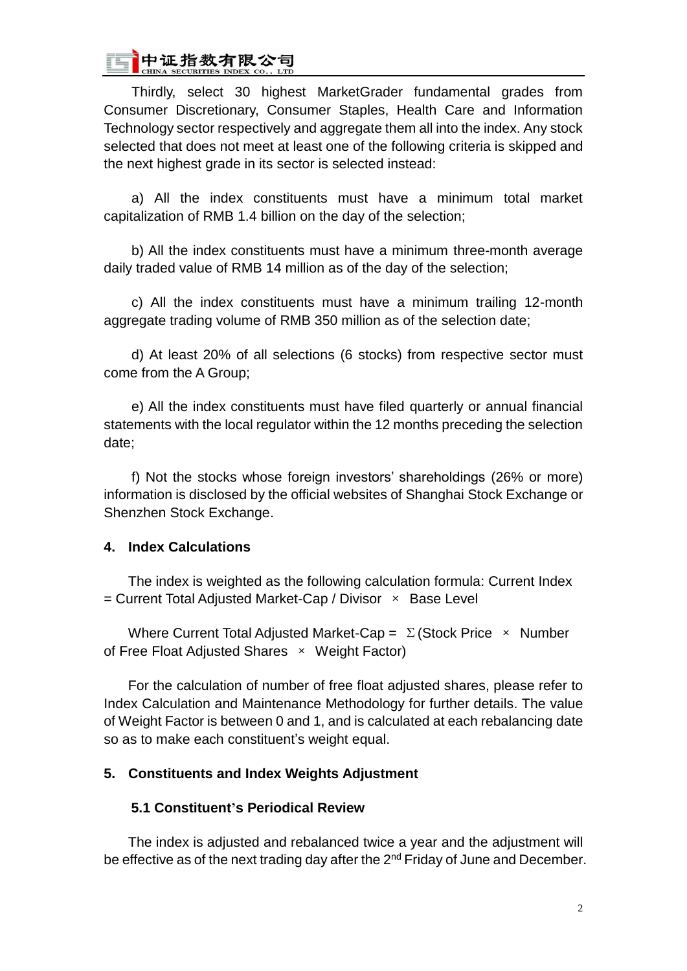#### 中证 指数有限 公司  $\overline{\phantom{a}}$

Thirdly, select 30 highest MarketGrader fundamental grades from Consumer Discretionary, Consumer Staples, Health Care and Information Technology sector respectively and aggregate them all into the index. Any stock selected that does not meet at least one of the following criteria is skipped and the next highest grade in its sector is selected instead:

a) All the index constituents must have a minimum total market capitalization of RMB 1.4 billion on the day of the selection;

b) All the index constituents must have a minimum three-month average daily traded value of RMB 14 million as of the day of the selection;

c) All the index constituents must have a minimum trailing 12-month aggregate trading volume of RMB 350 million as of the selection date;

d) At least 20% of all selections (6 stocks) from respective sector must come from the A Group;

e) All the index constituents must have filed quarterly or annual financial statements with the local regulator within the 12 months preceding the selection date;

f) Not the stocks whose foreign investors' shareholdings (26% or more) information is disclosed by the official websites of Shanghai Stock Exchange or Shenzhen Stock Exchange.

## **4. Index Calculations**

The index is weighted as the following calculation formula: Current Index  $=$  Current Total Adjusted Market-Cap / Divisor  $\times$  Base Level

Where Current Total Adjusted Market-Cap =  $\Sigma$  (Stock Price  $\times$  Number of Free Float Adjusted Shares × Weight Factor)

For the calculation of number of free float adjusted shares, please refer to Index Calculation and Maintenance Methodology for further details. The value of Weight Factor is between 0 and 1, and is calculated at each rebalancing date so as to make each constituent's weight equal.

## **5. Constituents and Index Weights Adjustment**

## **5.1 Constituent's Periodical Review**

The index is adjusted and rebalanced twice a year and the adjustment will be effective as of the next trading day after the 2<sup>nd</sup> Friday of June and December.